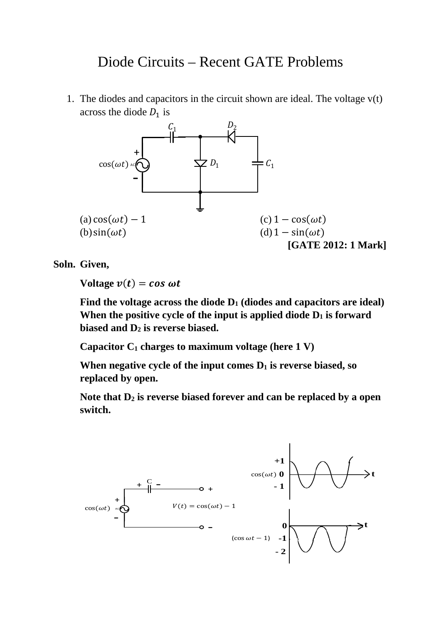# Diode Circuits – Recent GATE Problems

1. The diodes and capacitors in the circuit shown are ideal. The voltage  $v(t)$ across the diode  $D_1$  is



**Soln. Given,** 

**Voltage**  $v(t) = \cos \omega t$ 

Find the voltage across the diode  $D_1$  (diodes and capacitors are ideal) When the positive cycle of the input is applied diode  $D_1$  is forward **biased and D2 is reverse biased.**

**Capacitor C1 charges to maximum voltage (here 1 V)**

When negative cycle of the input comes  $D_1$  is reverse biased, so **replaced by open.**

Note that  $D_2$  is reverse biased forever and can be replaced by a open **switch.**

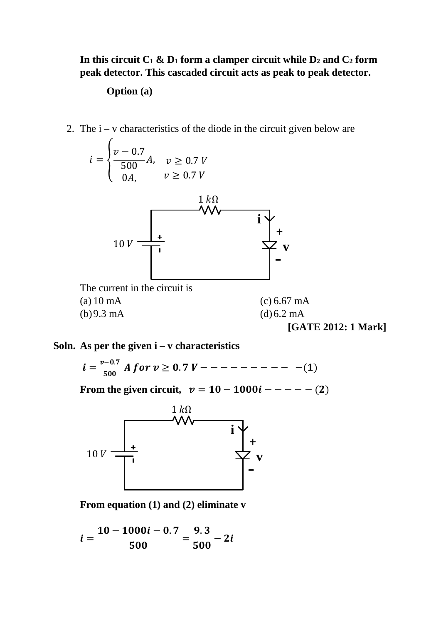## In this circuit  $C_1 \& D_1$  form a clamper circuit while  $D_2$  and  $C_2$  form **peak detector. This cascaded circuit acts as peak to peak detector.**

#### **Option (a)**

2. The  $i - v$  characteristics of the diode in the circuit given below are



### **Soln. As per the given i – v characteristics**

$$
i = \frac{v - 0.7}{500} \text{ A for } v \ge 0.7 \text{ V} - - - - - - - - - - - (1)
$$

**From the given circuit,**  $v = 10 - 1000i - - - - - (2)$ 



**From equation (1) and (2) eliminate v**

$$
i=\frac{10-1000i-0.7}{500}=\frac{9.3}{500}-2i
$$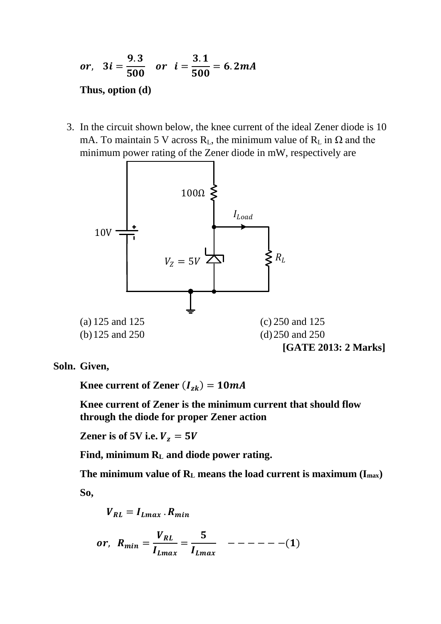*or*, 
$$
3i = \frac{9.3}{500}
$$
 *or*  $i = \frac{3.1}{500} = 6.2mA$   
Thus, option (d)

3. In the circuit shown below, the knee current of the ideal Zener diode is 10 mA. To maintain 5 V across  $R_L$ , the minimum value of  $R_L$  in  $\Omega$  and the minimum power rating of the Zener diode in mW, respectively are



**Soln. Given,** 

**Knee current of Zener**  $(I_{z_k}) = 10mA$ 

**Knee current of Zener is the minimum current that should flow through the diode for proper Zener action** 

**Zener is of 5V i.e.**  $V_z = 5V$ 

**Find, minimum RL and diode power rating.**

**The minimum value of RL means the load current is maximum (Imax) So,** 

$$
V_{RL} = I_{Lmax} \cdot R_{min}
$$
  
or, 
$$
R_{min} = \frac{V_{RL}}{I_{Lmax}} = \frac{5}{I_{Lmax}} \quad --- --- (1)
$$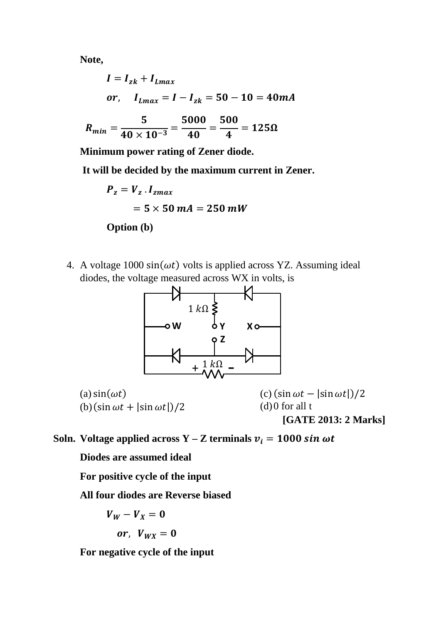**Note,** 

$$
I = I_{zk} + I_{Lmax}
$$
  
or,  $I_{Lmax} = I - I_{zk} = 50 - 10 = 40mA$   

$$
R_{min} = \frac{5}{40 \times 10^{-3}} = \frac{5000}{40} = \frac{500}{4} = 125\Omega
$$

**Minimum power rating of Zener diode.**

**It will be decided by the maximum current in Zener.**

$$
P_z = V_z \cdot I_{zmax}
$$
  
= 5 × 50 mA = 250 mW

**Option (b)**

4. A voltage 1000  $sin(\omega t)$  volts is applied across YZ. Assuming ideal diodes, the voltage measured across WX in volts, is



```
(a) sin(\omega t)(b) (sin \omega t + |sin \omega t|)/2
                                           (c) (\sin \omega t - |\sin \omega t|)/2(d)0 for all t
                                                   [GATE 2013: 2 Marks]
```
**Soln. Voltage applied across Y** – **Z** terminals  $v_i = 1000 \sin \omega t$ 

**Diodes are assumed ideal** 

**For positive cycle of the input** 

**All four diodes are Reverse biased** 

$$
V_W - V_X = 0
$$
  
or,  $V_{WX} = 0$ 

**For negative cycle of the input**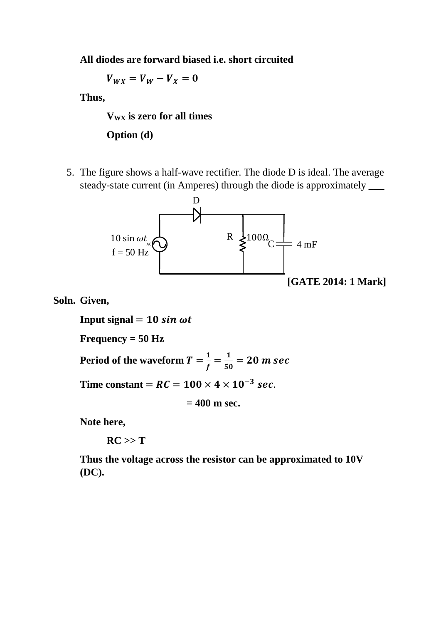**All diodes are forward biased i.e. short circuited** 

 $V_{WX} = V_W - V_X = 0$ 

**Thus,** 

**V<sub>WX</sub>** is zero for all times

**Option (d)**

5. The figure shows a half-wave rectifier. The diode D is ideal. The average steady-state current (in Amperes) through the diode is approximately \_\_\_



**Soln. Given,**

**Input signal**  $= 10 \sin \omega t$ **Frequency = 50 Hz**

**Period of the waveform**  $T = \frac{1}{f} = \frac{1}{50} = 20$ *m se* 

Time constant =  $RC = 100 \times 4 \times 10^{-3}$  sec.

**= 400 m sec.**

**Note here,**

 $RC >> T$ 

**Thus the voltage across the resistor can be approximated to 10V (DC).**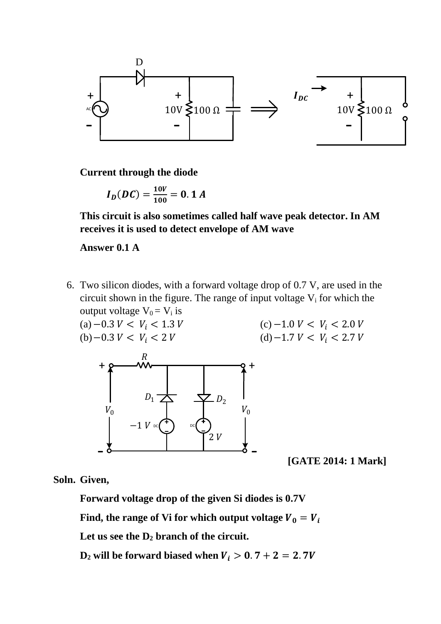

**Current through the diode** 

$$
I_D(DC) = \frac{10V}{100} = 0.1 A
$$

**This circuit is also sometimes called half wave peak detector. In AM receives it is used to detect envelope of AM wave** 

#### **Answer 0.1 A**

- 6. Two silicon diodes, with a forward voltage drop of 0.7 V, are used in the circuit shown in the figure. The range of input voltage  $V_i$  for which the output voltage  $V_0 = V_i$  is
	- $(a)$  −0.3  $V < V_i$  < 1.3  $V$  $(b)$  – 0.3  $V < V_i$  < 2  $V$  $(c)$  −1.0  $V < V_i$  < 2.0  $V$ (d) – 1.7  $V < V_i$  < 2.7  $V$



- **[GATE 2014: 1 Mark]**

**Soln. Given,** 

**Forward voltage drop of the given Si diodes is 0.7V**

Find, the range of Vi for which output voltage  $V_0 = V_i$ 

**Let us see the D2 branch of the circuit.** 

 $D_2$  will be forward biased when  $V_i > 0.7 + 2 = 2.7V$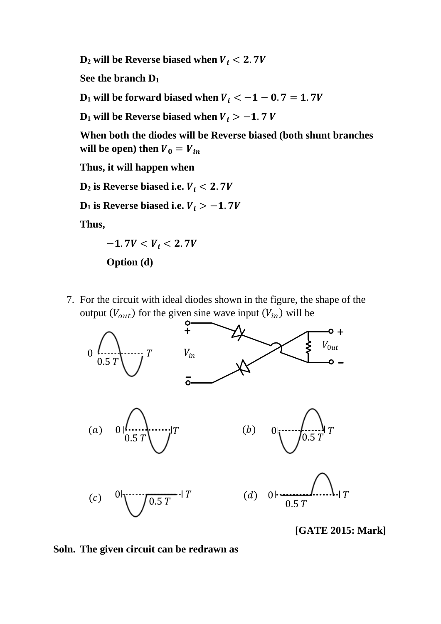$D_2$  will be Reverse biased when  $V_i < 2.7V$ 

**See the branch D1**

 $D_1$  will be forward biased when  $V_i < -1 - 0.7 = 1.7V$ 

**D<sub>1</sub>** will be Reverse biased when  $V_i > -1.7 V$ 

**When both the diodes will be Reverse biased (both shunt branches**  will be open) then  $V_0 = V_{in}$ 

**Thus, it will happen when** 

 $D_2$  is Reverse biased i.e.  $V_i < 2.7V$ 

**D<sub>1</sub>** is Reverse biased i.e.  $V_i > -1.7V$ 

**Thus,** 





7. For the circuit with ideal diodes shown in the figure, the shape of the output  $(V_{out})$  for the given sine wave input  $(V_{in})$  will be



 **[GATE 2015: Mark]**

**Soln. The given circuit can be redrawn as**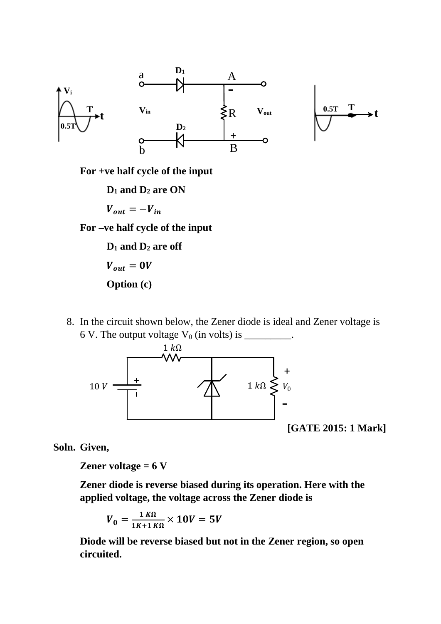

**For +ve half cycle of the input** 

**D1 and D2 are ON**

$$
V_{out} = -V_{in}
$$

**For –ve half cycle of the input** 

**D1 and D2 are off**  $V_{out}=0V$ **Option (c)**

8. In the circuit shown below, the Zener diode is ideal and Zener voltage is 6 V. The output voltage  $V_0$  (in volts) is \_\_\_\_\_\_\_\_.



 **[GATE 2015: 1 Mark]**

**Soln. Given,**

**Zener voltage = 6 V**

**Zener diode is reverse biased during its operation. Here with the applied voltage, the voltage across the Zener diode is** 

$$
V_0 = \frac{1 \, K\Omega}{1 \, K+1 \, K\Omega} \times 10V = 5V
$$

**Diode will be reverse biased but not in the Zener region, so open circuited.**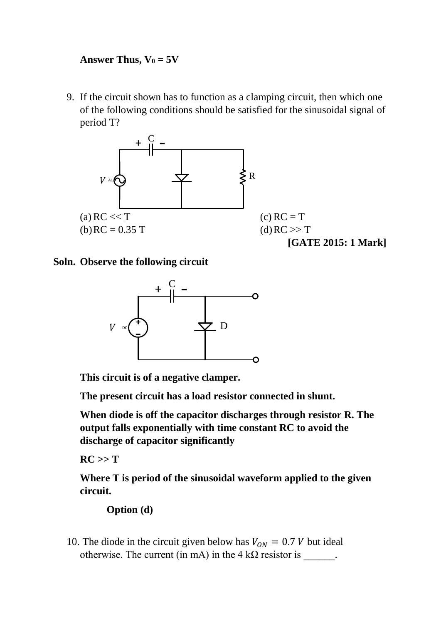# **Answer Thus,**  $V_0 = 5V$

9. If the circuit shown has to function as a clamping circuit, then which one of the following conditions should be satisfied for the sinusoidal signal of period T?



### **Soln. Observe the following circuit**



**This circuit is of a negative clamper.**

**The present circuit has a load resistor connected in shunt.**

**When diode is off the capacitor discharges through resistor R. The output falls exponentially with time constant RC to avoid the discharge of capacitor significantly** 

 $RC >> T$ 

**Where T is period of the sinusoidal waveform applied to the given circuit.**

# **Option (d)**

10. The diode in the circuit given below has  $V_{ON} = 0.7 V$  but ideal otherwise. The current (in mA) in the 4 k $\Omega$  resistor is  $\blacksquare$ .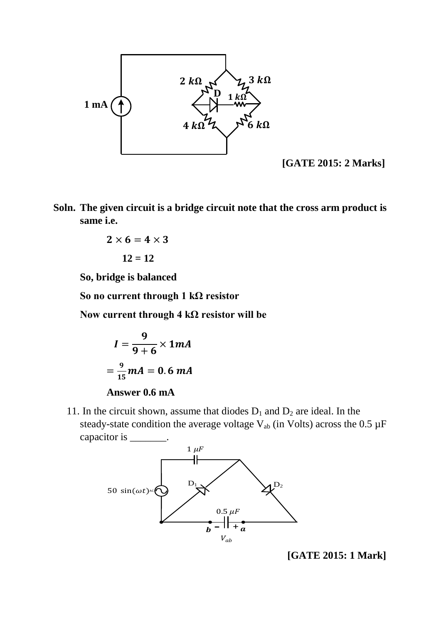

 **[GATE 2015: 2 Marks]**

**Soln. The given circuit is a bridge circuit note that the cross arm product is same i.e.** 

$$
2\times 6=4\times 3
$$

 $12 = 12$ 

**So, bridge is balanced** 

**So no current through 1 kΩ resistor** 

**Now current through 4 kΩ resistor will be** 

$$
I = \frac{9}{9+6} \times 1mA
$$

$$
= \frac{9}{15}mA = 0.6 mA
$$

**Answer 0.6 mA**

11. In the circuit shown, assume that diodes  $D_1$  and  $D_2$  are ideal. In the steady-state condition the average voltage  $V_{ab}$  (in Volts) across the 0.5  $\mu$ F capacitor is \_\_\_\_\_\_\_.



 **[GATE 2015: 1 Mark]**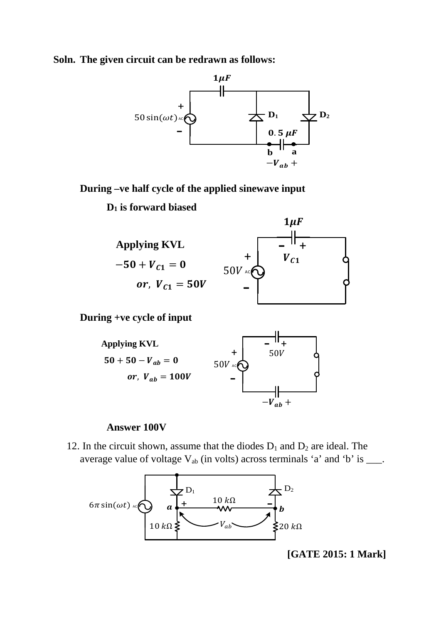**Soln. The given circuit can be redrawn as follows:**



**During –ve half cycle of the applied sinewave input** 

**D1 is forward biased** 



**During +ve cycle of input** 



#### **Answer 100V**

12. In the circuit shown, assume that the diodes  $D_1$  and  $D_2$  are ideal. The average value of voltage  $V_{ab}$  (in volts) across terminals 'a' and 'b' is  $\_\_\_\$ .



 **[GATE 2015: 1 Mark]**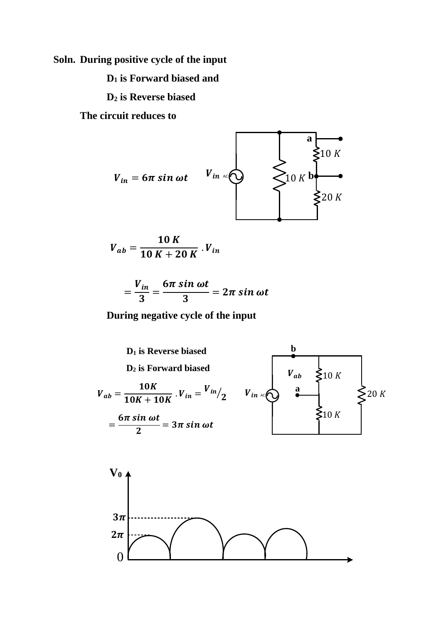**Soln. During positive cycle of the input** 

**D1 is Forward biased and** 

**D2 is Reverse biased** 

**The circuit reduces to** 

0



$$
V_{ab} = \frac{10 K}{10 K + 20 K} V_{in}
$$

$$
=\frac{V_{in}}{3}=\frac{6\pi\sin\omega t}{3}=2\pi\sin\omega t
$$

**During negative cycle of the input** 

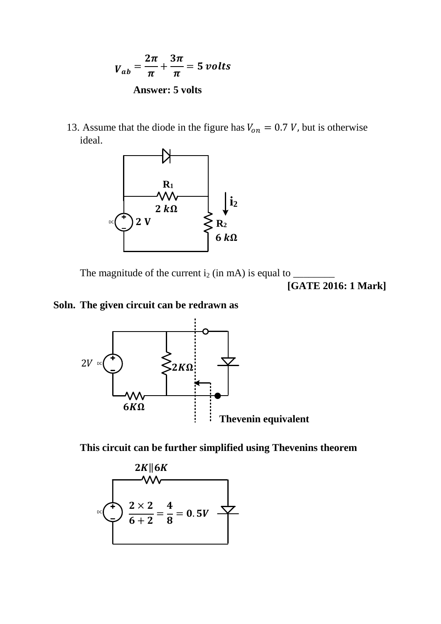$$
V_{ab} = \frac{2\pi}{\pi} + \frac{3\pi}{\pi} = 5 \text{ volts}
$$
  
Answer: 5 volts

13. Assume that the diode in the figure has  $V_{on} = 0.7 V$ , but is otherwise ideal.



The magnitude of the current i2 (in mA) is equal to \_\_\_\_\_\_\_\_

 **[GATE 2016: 1 Mark]** 

## **Soln. The given circuit can be redrawn as**



**This circuit can be further simplified using Thevenins theorem**

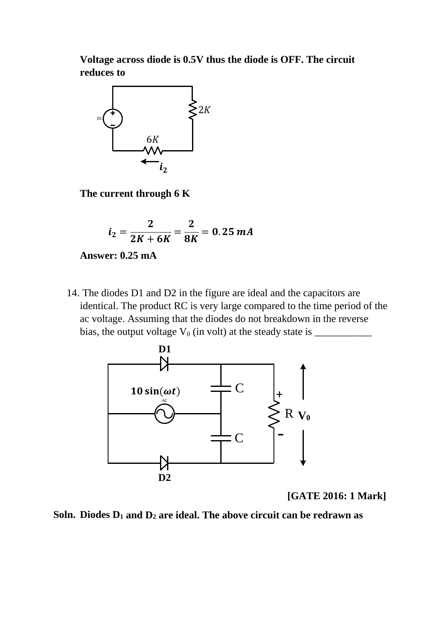**Voltage across diode is 0.5V thus the diode is OFF. The circuit reduces to** 



**The current through 6 K** 

$$
i_2 = \frac{2}{2K + 6K} = \frac{2}{8K} = 0.25 \text{ mA}
$$

**Answer: 0.25 mA**

14. The diodes D1 and D2 in the figure are ideal and the capacitors are identical. The product RC is very large compared to the time period of the ac voltage. Assuming that the diodes do not breakdown in the reverse bias, the output voltage  $V_0$  (in volt) at the steady state is  $\frac{1}{\sqrt{2\pi}}$ 



 **[GATE 2016: 1 Mark]**

**Soln. Diodes D1 and D2 are ideal. The above circuit can be redrawn as**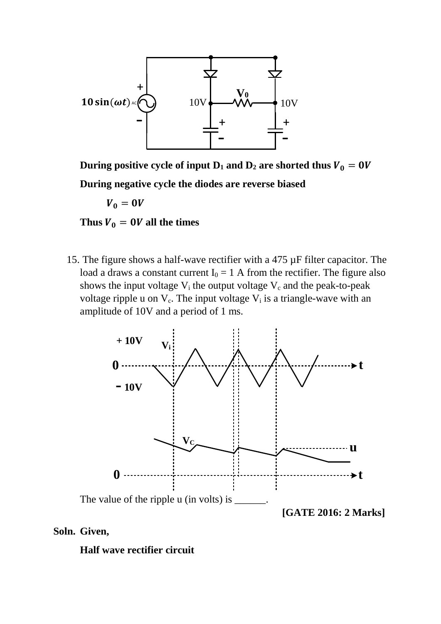

**During positive cycle of input D<sub>1</sub> and D<sub>2</sub> are shorted thus**  $V_0 = 0V$ 

**During negative cycle the diodes are reverse biased** 

 $V_0=0V$ 

Thus  $V_0 = 0V$  all the times

15. The figure shows a half-wave rectifier with a 475 µF filter capacitor. The load a draws a constant current  $I_0 = 1$  A from the rectifier. The figure also shows the input voltage  $V_i$  the output voltage  $V_c$  and the peak-to-peak voltage ripple u on  $V_c$ . The input voltage  $V_i$  is a triangle-wave with an amplitude of 10V and a period of 1 ms.



### **Soln. Given,**

### **Half wave rectifier circuit**